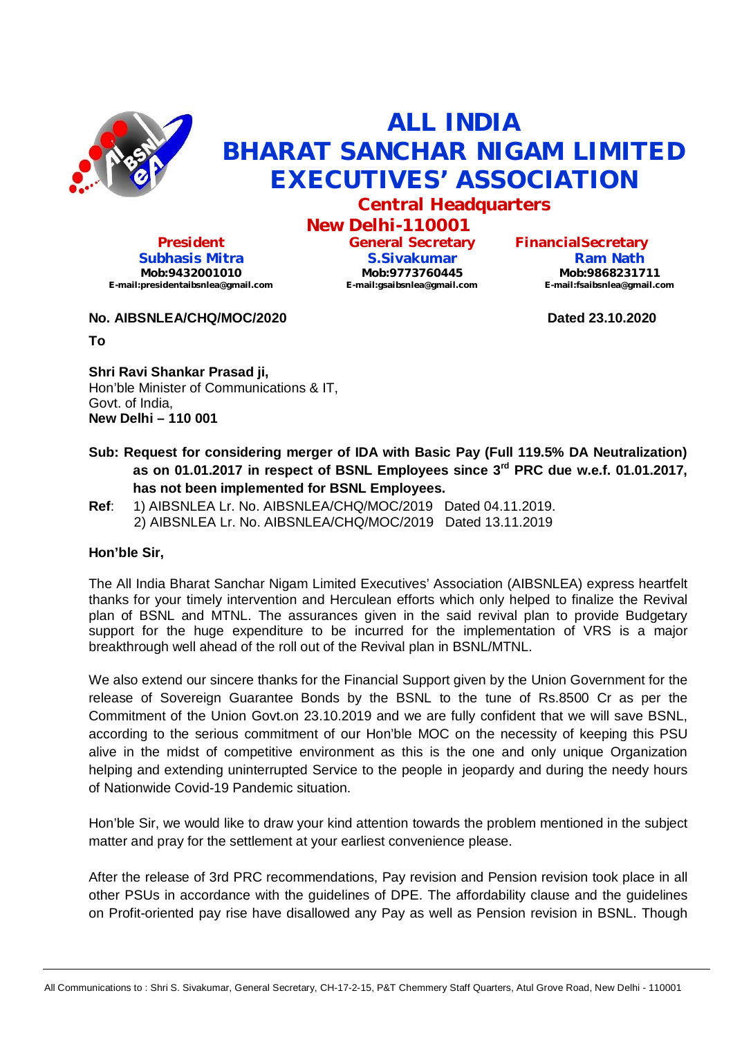

## **ALL INDIA BHARAT SANCHAR NIGAM LIMITED EXECUTIVES' ASSOCIATION**

**Central Headquarters**

**New Delhi-110001 General Secretary**

> **S.Sivakumar Mob:9773760445 [E-mail:gsaibsnlea@gmail.com](mailto:E-mail:gsaibsnlea@gmail.com)**

**President Subhasis Mitra Mob:9432001010 [E-mail:presidentaibsnlea@gmail.com](mailto:E-mail:presidentaibsnlea@gmail.com)**

**No. AIBSNLEA/CHQ/MOC/2020 Dated 23.10.2020**

**To**

**Shri Ravi Shankar Prasad ji,** Hon'ble Minister of Communications & IT, Govt. of India, **New Delhi – 110 001**

- **Sub: Request for considering merger of IDA with Basic Pay (Full 119.5% DA Neutralization) as on 01.01.2017 in respect of BSNL Employees since 3rd PRC due w.e.f. 01.01.2017,**
- **has not been implemented for BSNL Employees. Ref**: 1) AIBSNLEA Lr. No. AIBSNLEA/CHQ/MOC/2019 Dated 04.11.2019.
- 2) AIBSNLEA Lr. No. AIBSNLEA/CHQ/MOC/2019 Dated 13.11.2019

## **Hon'ble Sir,**

The All India Bharat Sanchar Nigam Limited Executives' Association (AIBSNLEA) express heartfelt thanks for your timely intervention and Herculean efforts which only helped to finalize the Revival plan of BSNL and MTNL. The assurances given in the said revival plan to provide Budgetary support for the huge expenditure to be incurred for the implementation of VRS is a major breakthrough well ahead of the roll out of the Revival plan in BSNL/MTNL.

We also extend our sincere thanks for the Financial Support given by the Union Government for the release of Sovereign Guarantee Bonds by the BSNL to the tune of Rs.8500 Cr as per the Commitment of the Union Govt.on 23.10.2019 and we are fully confident that we will save BSNL, according to the serious commitment of our Hon'ble MOC on the necessity of keeping this PSU alive in the midst of competitive environment as this is the one and only unique Organization helping and extending uninterrupted Service to the people in jeopardy and during the needy hours of Nationwide Covid-19 Pandemic situation.

Hon'ble Sir, we would like to draw your kind attention towards the problem mentioned in the subject matter and pray for the settlement at your earliest convenience please.

After the release of 3rd PRC recommendations, Pay revision and Pension revision took place in all other PSUs in accordance with the guidelines of DPE. The affordability clause and the guidelines on Profit-oriented pay rise have disallowed any Pay as well as Pension revision in BSNL. Though

**Ram Nath Mob:9868231711 [E-mail:fsaibsnlea@gmail.com](mailto:E-mail:fsaibsnlea@gmail.com)**

**FinancialSecretary**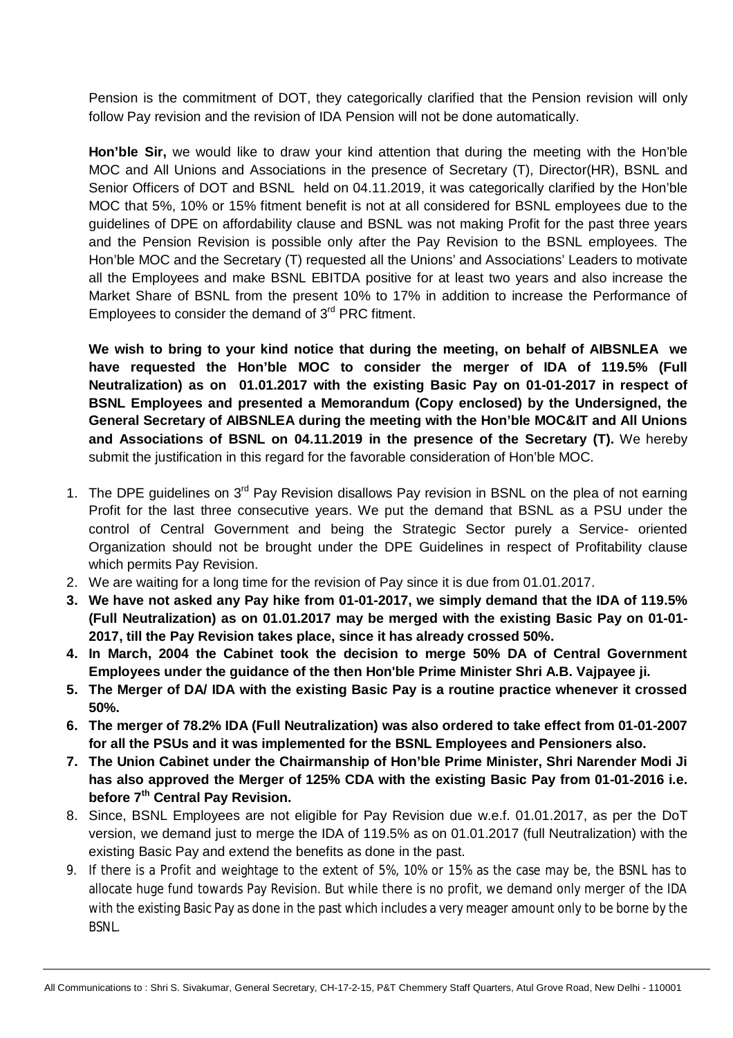Pension is the commitment of DOT, they categorically clarified that the Pension revision will only follow Pay revision and the revision of IDA Pension will not be done automatically.

**Hon'ble Sir,** we would like to draw your kind attention that during the meeting with the Hon'ble MOC and All Unions and Associations in the presence of Secretary (T), Director(HR), BSNL and Senior Officers of DOT and BSNL held on 04.11.2019, it was categorically clarified by the Hon'ble MOC that 5%, 10% or 15% fitment benefit is not at all considered for BSNL employees due to the guidelines of DPE on affordability clause and BSNL was not making Profit for the past three years and the Pension Revision is possible only after the Pay Revision to the BSNL employees. The Hon'ble MOC and the Secretary (T) requested all the Unions' and Associations' Leaders to motivate all the Employees and make BSNL EBITDA positive for at least two years and also increase the Market Share of BSNL from the present 10% to 17% in addition to increase the Performance of Employees to consider the demand of 3<sup>rd</sup> PRC fitment.

**We wish to bring to your kind notice that during the meeting, on behalf of AIBSNLEA we have requested the Hon'ble MOC to consider the merger of IDA of 119.5% (Full Neutralization) as on 01.01.2017 with the existing Basic Pay on 01-01-2017 in respect of BSNL Employees and presented a Memorandum (Copy enclosed) by the Undersigned, the General Secretary of AIBSNLEA during the meeting with the Hon'ble MOC&IT and All Unions and Associations of BSNL on 04.11.2019 in the presence of the Secretary (T).** We hereby submit the justification in this regard for the favorable consideration of Hon'ble MOC.

- 1. The DPE guidelines on 3<sup>rd</sup> Pay Revision disallows Pay revision in BSNL on the plea of not earning Profit for the last three consecutive years. We put the demand that BSNL as a PSU under the control of Central Government and being the Strategic Sector purely a Service- oriented Organization should not be brought under the DPE Guidelines in respect of Profitability clause which permits Pay Revision.
- 2. We are waiting for a long time for the revision of Pay since it is due from 01.01.2017.
- **3. We have not asked any Pay hike from 01-01-2017, we simply demand that the IDA of 119.5% (Full Neutralization) as on 01.01.2017 may be merged with the existing Basic Pay on 01-01- 2017, till the Pay Revision takes place, since it has already crossed 50%.**
- **4. In March, 2004 the Cabinet took the decision to merge 50% DA of Central Government Employees under the guidance of the then Hon'ble Prime Minister Shri A.B. Vajpayee ji.**
- **5. The Merger of DA/ IDA with the existing Basic Pay is a routine practice whenever it crossed 50%.**
- **6. The merger of 78.2% IDA (Full Neutralization) was also ordered to take effect from 01-01-2007 for all the PSUs and it was implemented for the BSNL Employees and Pensioners also.**
- **7. The Union Cabinet under the Chairmanship of Hon'ble Prime Minister, Shri Narender Modi Ji has also approved the Merger of 125% CDA with the existing Basic Pay from 01-01-2016 i.e. before 7 th Central Pay Revision.**
- 8. Since, BSNL Employees are not eligible for Pay Revision due w.e.f. 01.01.2017, as per the DoT version, we demand just to merge the IDA of 119.5% as on 01.01.2017 (full Neutralization) with the existing Basic Pay and extend the benefits as done in the past.
- 9. If there is a Profit and weightage to the extent of 5%, 10% or 15% as the case may be, the BSNL has to allocate huge fund towards Pay Revision. But while there is no profit, we demand only merger of the IDA with the existing Basic Pay as done in the past which includes a very meager amount only to be borne by the **BSNL**